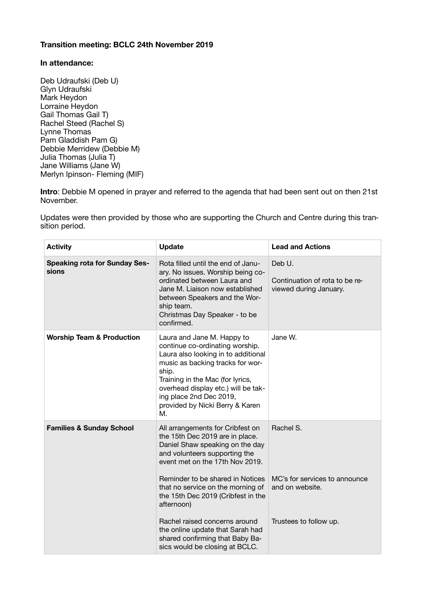## **Transition meeting: BCLC 24th November 2019**

## **In attendance:**

Deb Udraufski (Deb U) Glyn Udraufski Mark Heydon Lorraine Heydon Gail Thomas Gail T) Rachel Steed (Rachel S) Lynne Thomas Pam Gladdish Pam G) Debbie Merridew (Debbie M) Julia Thomas (Julia T) Jane Williams (Jane W) Merlyn Ipinson- Fleming (MIF)

**Intro**: Debbie M opened in prayer and referred to the agenda that had been sent out on then 21st November.

Updates were then provided by those who are supporting the Church and Centre during this transition period.

| <b>Activity</b>                               | <b>Update</b>                                                                                                                                                                                                                                                                                                                                                                                                                                     | <b>Lead and Actions</b>                                                                 |
|-----------------------------------------------|---------------------------------------------------------------------------------------------------------------------------------------------------------------------------------------------------------------------------------------------------------------------------------------------------------------------------------------------------------------------------------------------------------------------------------------------------|-----------------------------------------------------------------------------------------|
| <b>Speaking rota for Sunday Ses-</b><br>sions | Rota filled until the end of Janu-<br>ary. No issues. Worship being co-<br>ordinated between Laura and<br>Jane M. Liaison now established<br>between Speakers and the Wor-<br>ship team.<br>Christmas Day Speaker - to be<br>confirmed.                                                                                                                                                                                                           | Deb U.<br>Continuation of rota to be re-<br>viewed during January.                      |
| <b>Worship Team &amp; Production</b>          | Laura and Jane M. Happy to<br>continue co-ordinating worship.<br>Laura also looking in to additional<br>music as backing tracks for wor-<br>ship.<br>Training in the Mac (for lyrics,<br>overhead display etc.) will be tak-<br>ing place 2nd Dec 2019,<br>provided by Nicki Berry & Karen<br>М.                                                                                                                                                  | Jane W.                                                                                 |
| <b>Families &amp; Sunday School</b>           | All arrangements for Cribfest on<br>the 15th Dec 2019 are in place.<br>Daniel Shaw speaking on the day<br>and volunteers supporting the<br>event met on the 17th Nov 2019.<br>Reminder to be shared in Notices<br>that no service on the morning of<br>the 15th Dec 2019 (Cribfest in the<br>afternoon)<br>Rachel raised concerns around<br>the online update that Sarah had<br>shared confirming that Baby Ba-<br>sics would be closing at BCLC. | Rachel S.<br>MC's for services to announce<br>and on website.<br>Trustees to follow up. |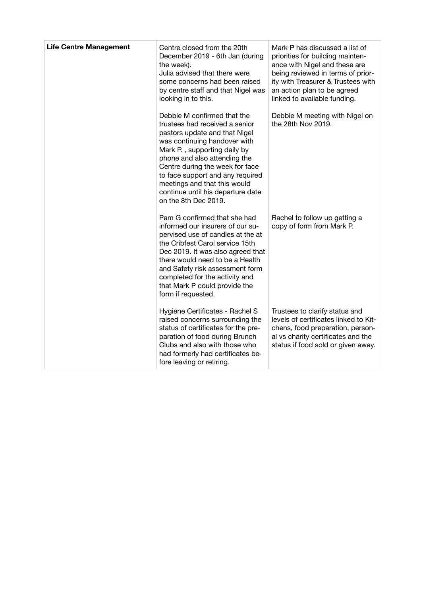| <b>Life Centre Management</b> | Centre closed from the 20th<br>December 2019 - 6th Jan (during<br>the week).<br>Julia advised that there were<br>some concerns had been raised<br>by centre staff and that Nigel was<br>looking in to this.                                                                                                                                                        | Mark P has discussed a list of<br>priorities for building mainten-<br>ance with Nigel and these are<br>being reviewed in terms of prior-<br>ity with Treasurer & Trustees with<br>an action plan to be agreed<br>linked to available funding. |
|-------------------------------|--------------------------------------------------------------------------------------------------------------------------------------------------------------------------------------------------------------------------------------------------------------------------------------------------------------------------------------------------------------------|-----------------------------------------------------------------------------------------------------------------------------------------------------------------------------------------------------------------------------------------------|
|                               | Debbie M confirmed that the<br>trustees had received a senior<br>pastors update and that Nigel<br>was continuing handover with<br>Mark P., supporting daily by<br>phone and also attending the<br>Centre during the week for face<br>to face support and any required<br>meetings and that this would<br>continue until his departure date<br>on the 8th Dec 2019. | Debbie M meeting with Nigel on<br>the 28th Nov 2019.                                                                                                                                                                                          |
|                               | Pam G confirmed that she had<br>informed our insurers of our su-<br>pervised use of candles at the at<br>the Cribfest Carol service 15th<br>Dec 2019. It was also agreed that<br>there would need to be a Health<br>and Safety risk assessment form<br>completed for the activity and<br>that Mark P could provide the<br>form if requested.                       | Rachel to follow up getting a<br>copy of form from Mark P.                                                                                                                                                                                    |
|                               | Hygiene Certificates - Rachel S<br>raised concerns surrounding the<br>status of certificates for the pre-<br>paration of food during Brunch<br>Clubs and also with those who<br>had formerly had certificates be-<br>fore leaving or retiring.                                                                                                                     | Trustees to clarify status and<br>levels of certificates linked to Kit-<br>chens, food preparation, person-<br>al vs charity certificates and the<br>status if food sold or given away.                                                       |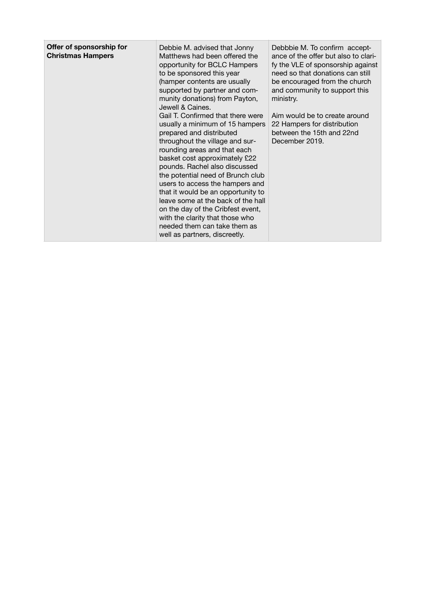| Offer of sponsorship for<br><b>Christmas Hampers</b> | Debbie M. advised that Jonny<br>Matthews had been offered the<br>opportunity for BCLC Hampers<br>to be sponsored this year<br>(hamper contents are usually<br>supported by partner and com-<br>munity donations) from Payton,<br>Jewell & Caines.<br>Gail T. Confirmed that there were<br>usually a minimum of 15 hampers<br>prepared and distributed<br>throughout the village and sur-<br>rounding areas and that each<br>basket cost approximately £22<br>pounds. Rachel also discussed<br>the potential need of Brunch club<br>users to access the hampers and<br>that it would be an opportunity to<br>leave some at the back of the hall<br>on the day of the Cribfest event,<br>with the clarity that those who<br>needed them can take them as<br>well as partners, discreetly. | Debbbie M. To confirm accept-<br>ance of the offer but also to clari-<br>fy the VLE of sponsorship against<br>need so that donations can still<br>be encouraged from the church<br>and community to support this<br>ministry.<br>Aim would be to create around<br>22 Hampers for distribution<br>between the 15th and 22nd<br>December 2019. |
|------------------------------------------------------|-----------------------------------------------------------------------------------------------------------------------------------------------------------------------------------------------------------------------------------------------------------------------------------------------------------------------------------------------------------------------------------------------------------------------------------------------------------------------------------------------------------------------------------------------------------------------------------------------------------------------------------------------------------------------------------------------------------------------------------------------------------------------------------------|----------------------------------------------------------------------------------------------------------------------------------------------------------------------------------------------------------------------------------------------------------------------------------------------------------------------------------------------|
|------------------------------------------------------|-----------------------------------------------------------------------------------------------------------------------------------------------------------------------------------------------------------------------------------------------------------------------------------------------------------------------------------------------------------------------------------------------------------------------------------------------------------------------------------------------------------------------------------------------------------------------------------------------------------------------------------------------------------------------------------------------------------------------------------------------------------------------------------------|----------------------------------------------------------------------------------------------------------------------------------------------------------------------------------------------------------------------------------------------------------------------------------------------------------------------------------------------|